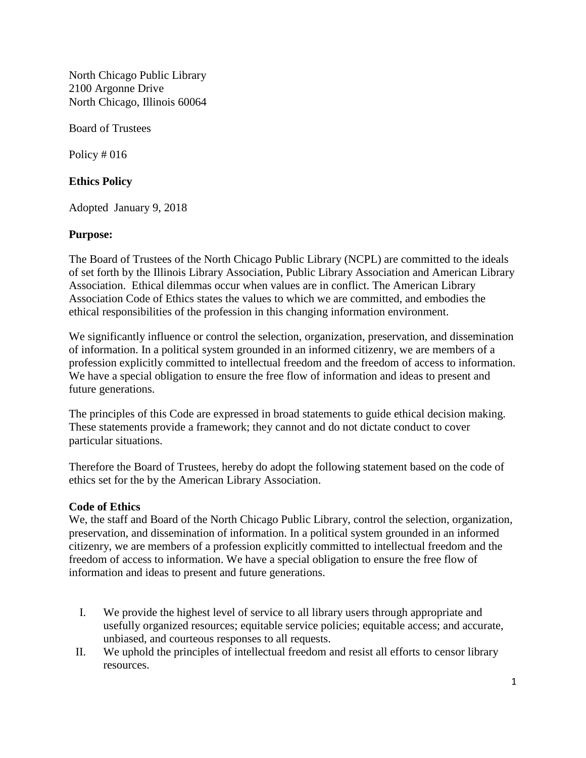North Chicago Public Library 2100 Argonne Drive North Chicago, Illinois 60064

Board of Trustees

Policy # 016

## **Ethics Policy**

Adopted January 9, 2018

## **Purpose:**

The Board of Trustees of the North Chicago Public Library (NCPL) are committed to the ideals of set forth by the Illinois Library Association, Public Library Association and American Library Association. Ethical dilemmas occur when values are in conflict. The American Library Association Code of Ethics states the values to which we are committed, and embodies the ethical responsibilities of the profession in this changing information environment.

We significantly influence or control the selection, organization, preservation, and dissemination of information. In a political system grounded in an informed citizenry, we are members of a profession explicitly committed to intellectual freedom and the freedom of access to information. We have a special obligation to ensure the free flow of information and ideas to present and future generations.

The principles of this Code are expressed in broad statements to guide ethical decision making. These statements provide a framework; they cannot and do not dictate conduct to cover particular situations.

Therefore the Board of Trustees, hereby do adopt the following statement based on the code of ethics set for the by the American Library Association.

## **Code of Ethics**

We, the staff and Board of the North Chicago Public Library, control the selection, organization, preservation, and dissemination of information. In a political system grounded in an informed citizenry, we are members of a profession explicitly committed to intellectual freedom and the freedom of access to information. We have a special obligation to ensure the free flow of information and ideas to present and future generations.

- I. We provide the highest level of service to all library users through appropriate and usefully organized resources; equitable service policies; equitable access; and accurate, unbiased, and courteous responses to all requests.
- II. We uphold the principles of intellectual freedom and resist all efforts to censor library resources.